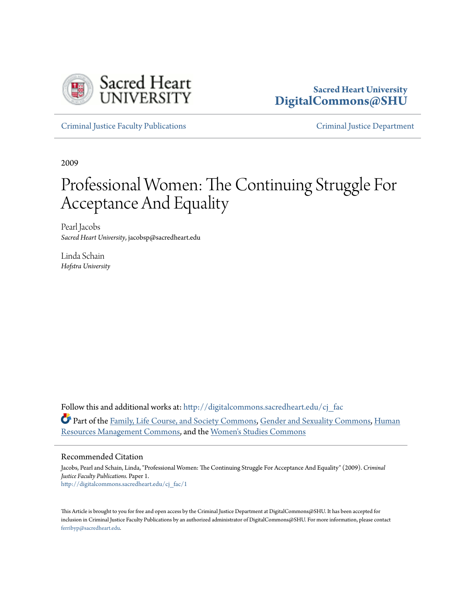

### **Sacred Heart University [DigitalCommons@SHU](http://digitalcommons.sacredheart.edu?utm_source=digitalcommons.sacredheart.edu%2Fcj_fac%2F1&utm_medium=PDF&utm_campaign=PDFCoverPages)**

[Criminal Justice Faculty Publications](http://digitalcommons.sacredheart.edu/cj_fac?utm_source=digitalcommons.sacredheart.edu%2Fcj_fac%2F1&utm_medium=PDF&utm_campaign=PDFCoverPages) [Criminal Justice Department](http://digitalcommons.sacredheart.edu/cj?utm_source=digitalcommons.sacredheart.edu%2Fcj_fac%2F1&utm_medium=PDF&utm_campaign=PDFCoverPages)

2009

# Professional Women: The Continuing Struggle For Acceptance And Equality

Pearl Jacobs *Sacred Heart University*, jacobsp@sacredheart.edu

Linda Schain *Hofstra University*

Follow this and additional works at: [http://digitalcommons.sacredheart.edu/cj\\_fac](http://digitalcommons.sacredheart.edu/cj_fac?utm_source=digitalcommons.sacredheart.edu%2Fcj_fac%2F1&utm_medium=PDF&utm_campaign=PDFCoverPages) Part of the [Family, Life Course, and Society Commons](http://network.bepress.com/hgg/discipline/419?utm_source=digitalcommons.sacredheart.edu%2Fcj_fac%2F1&utm_medium=PDF&utm_campaign=PDFCoverPages), [Gender and Sexuality Commons](http://network.bepress.com/hgg/discipline/420?utm_source=digitalcommons.sacredheart.edu%2Fcj_fac%2F1&utm_medium=PDF&utm_campaign=PDFCoverPages), [Human](http://network.bepress.com/hgg/discipline/633?utm_source=digitalcommons.sacredheart.edu%2Fcj_fac%2F1&utm_medium=PDF&utm_campaign=PDFCoverPages) [Resources Management Commons,](http://network.bepress.com/hgg/discipline/633?utm_source=digitalcommons.sacredheart.edu%2Fcj_fac%2F1&utm_medium=PDF&utm_campaign=PDFCoverPages) and the [Women's Studies Commons](http://network.bepress.com/hgg/discipline/561?utm_source=digitalcommons.sacredheart.edu%2Fcj_fac%2F1&utm_medium=PDF&utm_campaign=PDFCoverPages)

#### Recommended Citation

Jacobs, Pearl and Schain, Linda, "Professional Women: The Continuing Struggle For Acceptance And Equality" (2009). *Criminal Justice Faculty Publications.* Paper 1. [http://digitalcommons.sacredheart.edu/cj\\_fac/1](http://digitalcommons.sacredheart.edu/cj_fac/1?utm_source=digitalcommons.sacredheart.edu%2Fcj_fac%2F1&utm_medium=PDF&utm_campaign=PDFCoverPages)

This Article is brought to you for free and open access by the Criminal Justice Department at DigitalCommons@SHU. It has been accepted for inclusion in Criminal Justice Faculty Publications by an authorized administrator of DigitalCommons@SHU. For more information, please contact [ferribyp@sacredheart.edu](mailto:ferribyp@sacredheart.edu).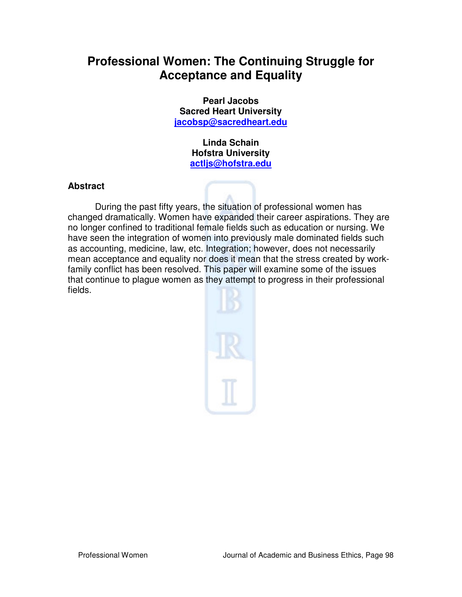## **Professional Women: The Continuing Struggle for Acceptance and Equality**

**Pearl Jacobs Sacred Heart University jacobsp@sacredheart.edu**

> **Linda Schain Hofstra University actljs@hofstra.edu**

#### **Abstract**

During the past fifty years, the situation of professional women has changed dramatically. Women have expanded their career aspirations. They are no longer confined to traditional female fields such as education or nursing. We have seen the integration of women into previously male dominated fields such as accounting, medicine, law, etc. Integration; however, does not necessarily mean acceptance and equality nor does it mean that the stress created by workfamily conflict has been resolved. This paper will examine some of the issues that continue to plague women as they attempt to progress in their professional fields.

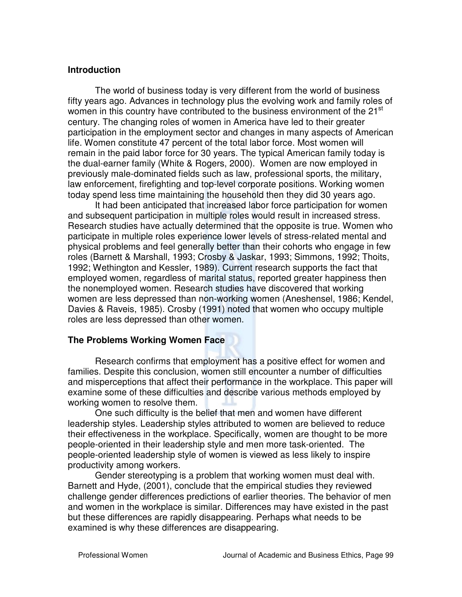#### **Introduction**

The world of business today is very different from the world of business fifty years ago. Advances in technology plus the evolving work and family roles of women in this country have contributed to the business environment of the 21<sup>st</sup> century. The changing roles of women in America have led to their greater participation in the employment sector and changes in many aspects of American life. Women constitute 47 percent of the total labor force. Most women will remain in the paid labor force for 30 years. The typical American family today is the dual-earner family (White & Rogers, 2000). Women are now employed in previously male-dominated fields such as law, professional sports, the military, law enforcement, firefighting and top-level corporate positions. Working women today spend less time maintaining the household then they did 30 years ago.

It had been anticipated that increased labor force participation for women and subsequent participation in multiple roles would result in increased stress. Research studies have actually determined that the opposite is true. Women who participate in multiple roles experience lower levels of stress-related mental and physical problems and feel generally better than their cohorts who engage in few roles (Barnett & Marshall, 1993; Crosby & Jaskar, 1993; Simmons, 1992; Thoits, 1992; Wethington and Kessler, 1989). Current research supports the fact that employed women, regardless of marital status, reported greater happiness then the nonemployed women. Research studies have discovered that working women are less depressed than non-working women (Aneshensel, 1986; Kendel, Davies & Raveis, 1985). Crosby (1991) noted that women who occupy multiple roles are less depressed than other women.

#### **The Problems Working Women Face**

Research confirms that employment has a positive effect for women and families. Despite this conclusion, women still encounter a number of difficulties and misperceptions that affect their performance in the workplace. This paper will examine some of these difficulties and describe various methods employed by working women to resolve them.

 One such difficulty is the belief that men and women have different leadership styles. Leadership styles attributed to women are believed to reduce their effectiveness in the workplace. Specifically, women are thought to be more people-oriented in their leadership style and men more task-oriented. The people-oriented leadership style of women is viewed as less likely to inspire productivity among workers.

 Gender stereotyping is a problem that working women must deal with. Barnett and Hyde, (2001), conclude that the empirical studies they reviewed challenge gender differences predictions of earlier theories. The behavior of men and women in the workplace is similar. Differences may have existed in the past but these differences are rapidly disappearing. Perhaps what needs to be examined is why these differences are disappearing.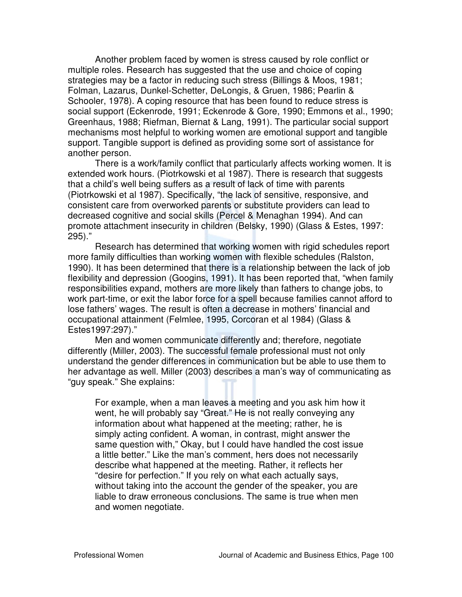Another problem faced by women is stress caused by role conflict or multiple roles. Research has suggested that the use and choice of coping strategies may be a factor in reducing such stress (Billings & Moos, 1981; Folman, Lazarus, Dunkel-Schetter, DeLongis, & Gruen, 1986; Pearlin & Schooler, 1978). A coping resource that has been found to reduce stress is social support (Eckenrode, 1991; Eckenrode & Gore, 1990; Emmons et al., 1990; Greenhaus, 1988; Riefman, Biernat & Lang, 1991). The particular social support mechanisms most helpful to working women are emotional support and tangible support. Tangible support is defined as providing some sort of assistance for another person.

 There is a work/family conflict that particularly affects working women. It is extended work hours. (Piotrkowski et al 1987). There is research that suggests that a child's well being suffers as a result of lack of time with parents (Piotrkowski et al 1987). Specifically, "the lack of sensitive, responsive, and consistent care from overworked parents or substitute providers can lead to decreased cognitive and social skills (Percel & Menaghan 1994). And can promote attachment insecurity in children (Belsky, 1990) (Glass & Estes, 1997: 295)."

 Research has determined that working women with rigid schedules report more family difficulties than working women with flexible schedules (Ralston, 1990). It has been determined that there is a relationship between the lack of job flexibility and depression (Googins, 1991). It has been reported that, "when family responsibilities expand, mothers are more likely than fathers to change jobs, to work part-time, or exit the labor force for a spell because families cannot afford to lose fathers' wages. The result is often a decrease in mothers' financial and occupational attainment (Felmlee, 1995, Corcoran et al 1984) (Glass & Estes1997:297)."

 Men and women communicate differently and; therefore, negotiate differently (Miller, 2003). The successful female professional must not only understand the gender differences in communication but be able to use them to her advantage as well. Miller (2003) describes a man's way of communicating as "guy speak." She explains:

For example, when a man leaves a meeting and you ask him how it went, he will probably say "Great." He is not really conveying any information about what happened at the meeting; rather, he is simply acting confident. A woman, in contrast, might answer the same question with," Okay, but I could have handled the cost issue a little better." Like the man's comment, hers does not necessarily describe what happened at the meeting. Rather, it reflects her "desire for perfection." If you rely on what each actually says, without taking into the account the gender of the speaker, you are liable to draw erroneous conclusions. The same is true when men and women negotiate.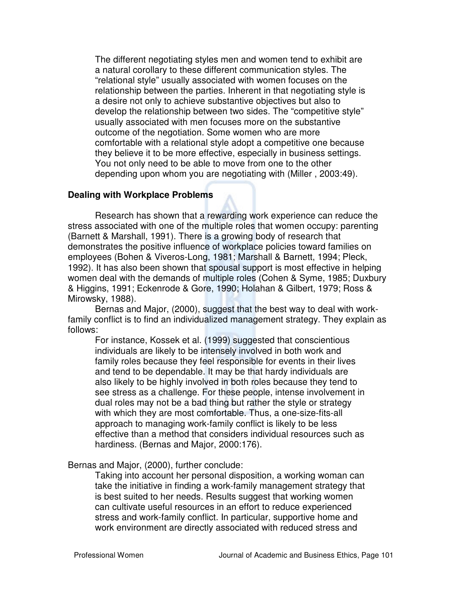The different negotiating styles men and women tend to exhibit are a natural corollary to these different communication styles. The "relational style" usually associated with women focuses on the relationship between the parties. Inherent in that negotiating style is a desire not only to achieve substantive objectives but also to develop the relationship between two sides. The "competitive style" usually associated with men focuses more on the substantive outcome of the negotiation. Some women who are more comfortable with a relational style adopt a competitive one because they believe it to be more effective, especially in business settings. You not only need to be able to move from one to the other depending upon whom you are negotiating with (Miller , 2003:49).

#### **Dealing with Workplace Problems**

Research has shown that a rewarding work experience can reduce the stress associated with one of the multiple roles that women occupy: parenting (Barnett & Marshall, 1991). There is a growing body of research that demonstrates the positive influence of workplace policies toward families on employees (Bohen & Viveros-Long, 1981; Marshall & Barnett, 1994; Pleck, 1992). It has also been shown that spousal support is most effective in helping women deal with the demands of multiple roles (Cohen & Syme, 1985; Duxbury & Higgins, 1991; Eckenrode & Gore, 1990; Holahan & Gilbert, 1979; Ross & Mirowsky, 1988).

Bernas and Major, (2000), suggest that the best way to deal with workfamily conflict is to find an individualized management strategy. They explain as follows:

For instance, Kossek et al. (1999) suggested that conscientious individuals are likely to be intensely involved in both work and family roles because they feel responsible for events in their lives and tend to be dependable. It may be that hardy individuals are also likely to be highly involved in both roles because they tend to see stress as a challenge. For these people, intense involvement in dual roles may not be a bad thing but rather the style or strategy with which they are most comfortable. Thus, a one-size-fits-all approach to managing work-family conflict is likely to be less effective than a method that considers individual resources such as hardiness. (Bernas and Major, 2000:176).

#### Bernas and Major, (2000), further conclude:

Taking into account her personal disposition, a working woman can take the initiative in finding a work-family management strategy that is best suited to her needs. Results suggest that working women can cultivate useful resources in an effort to reduce experienced stress and work-family conflict. In particular, supportive home and work environment are directly associated with reduced stress and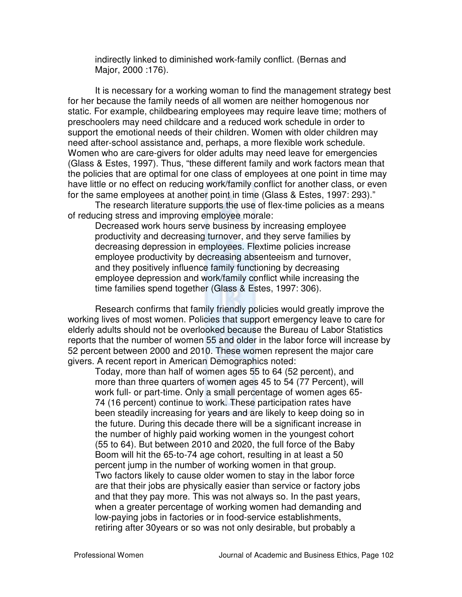indirectly linked to diminished work-family conflict. (Bernas and Major, 2000 :176).

It is necessary for a working woman to find the management strategy best for her because the family needs of all women are neither homogenous nor static. For example, childbearing employees may require leave time; mothers of preschoolers may need childcare and a reduced work schedule in order to support the emotional needs of their children. Women with older children may need after-school assistance and, perhaps, a more flexible work schedule. Women who are care-givers for older adults may need leave for emergencies (Glass & Estes, 1997). Thus, "these different family and work factors mean that the policies that are optimal for one class of employees at one point in time may have little or no effect on reducing work/family conflict for another class, or even for the same employees at another point in time (Glass & Estes, 1997: 293)."

The research literature supports the use of flex-time policies as a means of reducing stress and improving employee morale:

Decreased work hours serve business by increasing employee productivity and decreasing turnover, and they serve families by decreasing depression in employees. Flextime policies increase employee productivity by decreasing absenteeism and turnover, and they positively influence family functioning by decreasing employee depression and work/family conflict while increasing the time families spend together (Glass & Estes, 1997: 306).

Research confirms that family friendly policies would greatly improve the working lives of most women. Policies that support emergency leave to care for elderly adults should not be overlooked because the Bureau of Labor Statistics reports that the number of women 55 and older in the labor force will increase by 52 percent between 2000 and 2010. These women represent the major care givers. A recent report in American Demographics noted:

Today, more than half of women ages 55 to 64 (52 percent), and more than three quarters of women ages 45 to 54 (77 Percent), will work full- or part-time. Only a small percentage of women ages 65- 74 (16 percent) continue to work. These participation rates have been steadily increasing for years and are likely to keep doing so in the future. During this decade there will be a significant increase in the number of highly paid working women in the youngest cohort (55 to 64). But between 2010 and 2020, the full force of the Baby Boom will hit the 65-to-74 age cohort, resulting in at least a 50 percent jump in the number of working women in that group. Two factors likely to cause older women to stay in the labor force are that their jobs are physically easier than service or factory jobs and that they pay more. This was not always so. In the past years, when a greater percentage of working women had demanding and low-paying jobs in factories or in food-service establishments, retiring after 30years or so was not only desirable, but probably a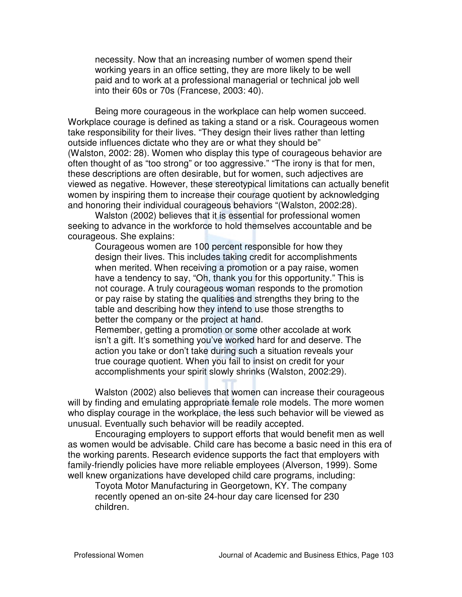necessity. Now that an increasing number of women spend their working years in an office setting, they are more likely to be well paid and to work at a professional managerial or technical job well into their 60s or 70s (Francese, 2003: 40).

Being more courageous in the workplace can help women succeed. Workplace courage is defined as taking a stand or a risk. Courageous women take responsibility for their lives. "They design their lives rather than letting outside influences dictate who they are or what they should be" (Walston, 2002: 28). Women who display this type of courageous behavior are often thought of as "too strong" or too aggressive." "The irony is that for men, these descriptions are often desirable, but for women, such adjectives are viewed as negative. However, these stereotypical limitations can actually benefit women by inspiring them to increase their courage quotient by acknowledging and honoring their individual courageous behaviors "(Walston, 2002:28).

Walston (2002) believes that it is essential for professional women seeking to advance in the workforce to hold themselves accountable and be courageous. She explains:

Courageous women are 100 percent responsible for how they design their lives. This includes taking credit for accomplishments when merited. When receiving a promotion or a pay raise, women have a tendency to say, "Oh, thank you for this opportunity." This is not courage. A truly courageous woman responds to the promotion or pay raise by stating the qualities and strengths they bring to the table and describing how they intend to use those strengths to better the company or the project at hand.

Remember, getting a promotion or some other accolade at work isn't a gift. It's something you've worked hard for and deserve. The action you take or don't take during such a situation reveals your true courage quotient. When you fail to insist on credit for your accomplishments your spirit slowly shrinks (Walston, 2002:29).

Walston (2002) also believes that women can increase their courageous will by finding and emulating appropriate female role models. The more women who display courage in the workplace, the less such behavior will be viewed as unusual. Eventually such behavior will be readily accepted.

Encouraging employers to support efforts that would benefit men as well as women would be advisable. Child care has become a basic need in this era of the working parents. Research evidence supports the fact that employers with family-friendly policies have more reliable employees (Alverson, 1999). Some well knew organizations have developed child care programs, including:

Toyota Motor Manufacturing in Georgetown, KY. The company recently opened an on-site 24-hour day care licensed for 230 children.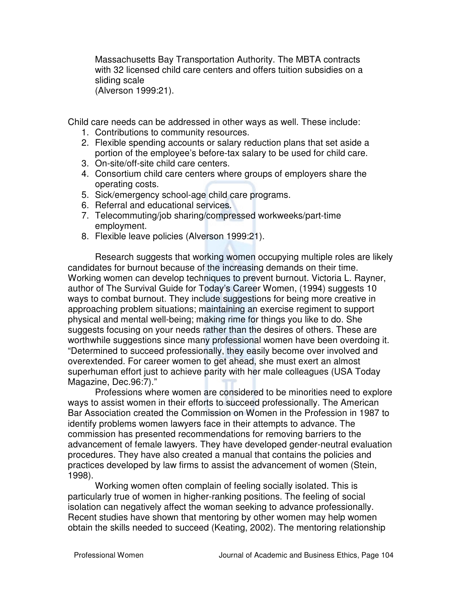Massachusetts Bay Transportation Authority. The MBTA contracts with 32 licensed child care centers and offers tuition subsidies on a sliding scale

(Alverson 1999:21).

Child care needs can be addressed in other ways as well. These include:

- 1. Contributions to community resources.
- 2. Flexible spending accounts or salary reduction plans that set aside a portion of the employee's before-tax salary to be used for child care.
- 3. On-site/off-site child care centers.
- 4. Consortium child care centers where groups of employers share the operating costs.
- 5. Sick/emergency school-age child care programs.
- 6. Referral and educational services.
- 7. Telecommuting/job sharing/compressed workweeks/part-time employment.
- 8. Flexible leave policies (Alverson 1999:21).

Research suggests that working women occupying multiple roles are likely candidates for burnout because of the increasing demands on their time. Working women can develop techniques to prevent burnout. Victoria L. Rayner, author of The Survival Guide for Today's Career Women, (1994) suggests 10 ways to combat burnout. They include suggestions for being more creative in approaching problem situations; maintaining an exercise regiment to support physical and mental well-being; making rime for things you like to do. She suggests focusing on your needs rather than the desires of others. These are worthwhile suggestions since many professional women have been overdoing it. "Determined to succeed professionally, they easily become over involved and overextended. For career women to get ahead, she must exert an almost superhuman effort just to achieve parity with her male colleagues (USA Today Magazine, Dec.96:7)."

Professions where women are considered to be minorities need to explore ways to assist women in their efforts to succeed professionally. The American Bar Association created the Commission on Women in the Profession in 1987 to identify problems women lawyers face in their attempts to advance. The commission has presented recommendations for removing barriers to the advancement of female lawyers. They have developed gender-neutral evaluation procedures. They have also created a manual that contains the policies and practices developed by law firms to assist the advancement of women (Stein, 1998).

Working women often complain of feeling socially isolated. This is particularly true of women in higher-ranking positions. The feeling of social isolation can negatively affect the woman seeking to advance professionally. Recent studies have shown that mentoring by other women may help women obtain the skills needed to succeed (Keating, 2002). The mentoring relationship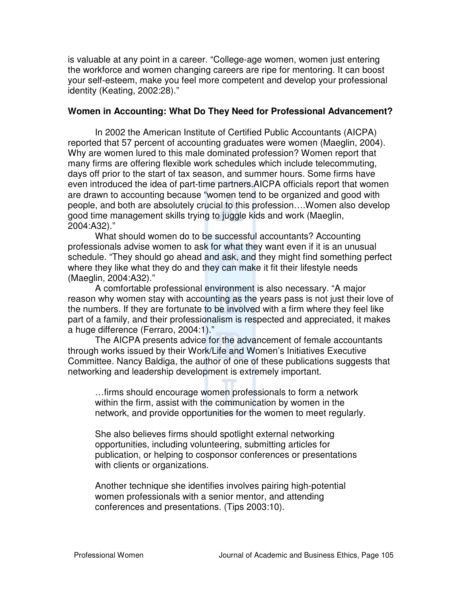is valuable at any point in a career. "College-age women, women just entering the workforce and women changing careers are ripe for mentoring. It can boost your self-esteem, make you feel more competent and develop your professional identity (Keating, 2002:28)."

#### **Women in Accounting: What Do They Need for Professional Advancement?**

In 2002 the American Institute of Certified Public Accountants (AICPA) reported that 57 percent of accounting graduates were women (Maeglin, 2004). Why are women lured to this male dominated profession? Women report that many firms are offering flexible work schedules which include telecommuting, days off prior to the start of tax season, and summer hours. Some firms have even introduced the idea of part-time partners.AICPA officials report that women are drawn to accounting because "women tend to be organized and good with people, and both are absolutely crucial to this profession….Women also develop good time management skills trying to juggle kids and work (Maeglin, 2004:A32)."

What should women do to be successful accountants? Accounting professionals advise women to ask for what they want even if it is an unusual schedule. "They should go ahead and ask, and they might find something perfect where they like what they do and they can make it fit their lifestyle needs (Maeglin, 2004:A32)."

A comfortable professional environment is also necessary. "A major reason why women stay with accounting as the years pass is not just their love of the numbers. If they are fortunate to be involved with a firm where they feel like part of a family, and their professionalism is respected and appreciated, it makes a huge difference (Ferraro, 2004:1)."

The AICPA presents advice for the advancement of female accountants through works issued by their Work/Life and Women's Initiatives Executive Committee. Nancy Baldiga, the author of one of these publications suggests that networking and leadership development is extremely important.

…firms should encourage women professionals to form a network within the firm, assist with the communication by women in the network, and provide opportunities for the women to meet regularly.

She also believes firms should spotlight external networking opportunities, including volunteering, submitting articles for publication, or helping to cosponsor conferences or presentations with clients or organizations.

Another technique she identifies involves pairing high-potential women professionals with a senior mentor, and attending conferences and presentations. (Tips 2003:10).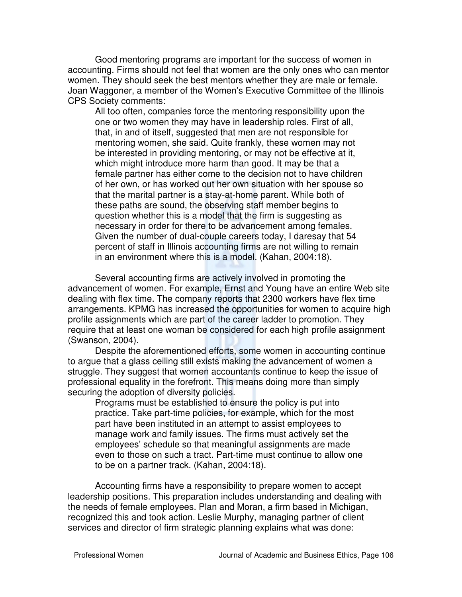Good mentoring programs are important for the success of women in accounting. Firms should not feel that women are the only ones who can mentor women. They should seek the best mentors whether they are male or female. Joan Waggoner, a member of the Women's Executive Committee of the Illinois CPS Society comments:

All too often, companies force the mentoring responsibility upon the one or two women they may have in leadership roles. First of all, that, in and of itself, suggested that men are not responsible for mentoring women, she said. Quite frankly, these women may not be interested in providing mentoring, or may not be effective at it, which might introduce more harm than good. It may be that a female partner has either come to the decision not to have children of her own, or has worked out her own situation with her spouse so that the marital partner is a stay-at-home parent. While both of these paths are sound, the observing staff member begins to question whether this is a model that the firm is suggesting as necessary in order for there to be advancement among females. Given the number of dual-couple careers today, I daresay that 54 percent of staff in Illinois accounting firms are not willing to remain in an environment where this is a model. (Kahan, 2004:18).

Several accounting firms are actively involved in promoting the advancement of women. For example, Ernst and Young have an entire Web site dealing with flex time. The company reports that 2300 workers have flex time arrangements. KPMG has increased the opportunities for women to acquire high profile assignments which are part of the career ladder to promotion. They require that at least one woman be considered for each high profile assignment (Swanson, 2004).

Despite the aforementioned efforts, some women in accounting continue to argue that a glass ceiling still exists making the advancement of women a struggle. They suggest that women accountants continue to keep the issue of professional equality in the forefront. This means doing more than simply securing the adoption of diversity policies.

Programs must be established to ensure the policy is put into practice. Take part-time policies, for example, which for the most part have been instituted in an attempt to assist employees to manage work and family issues. The firms must actively set the employees' schedule so that meaningful assignments are made even to those on such a tract. Part-time must continue to allow one to be on a partner track. (Kahan, 2004:18).

Accounting firms have a responsibility to prepare women to accept leadership positions. This preparation includes understanding and dealing with the needs of female employees. Plan and Moran, a firm based in Michigan, recognized this and took action. Leslie Murphy, managing partner of client services and director of firm strategic planning explains what was done: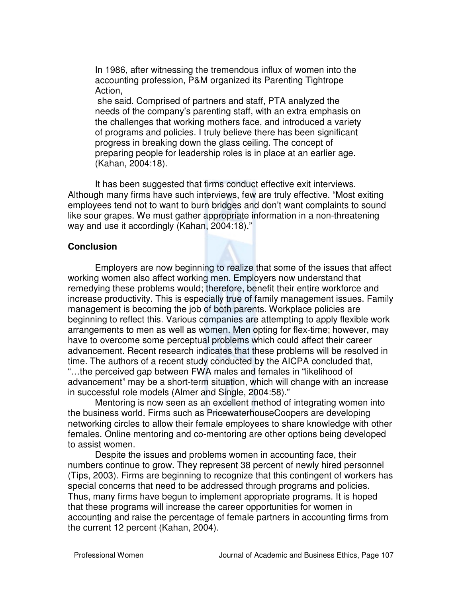In 1986, after witnessing the tremendous influx of women into the accounting profession, P&M organized its Parenting Tightrope Action,

 she said. Comprised of partners and staff, PTA analyzed the needs of the company's parenting staff, with an extra emphasis on the challenges that working mothers face, and introduced a variety of programs and policies. I truly believe there has been significant progress in breaking down the glass ceiling. The concept of preparing people for leadership roles is in place at an earlier age. (Kahan, 2004:18).

It has been suggested that firms conduct effective exit interviews. Although many firms have such interviews, few are truly effective. "Most exiting employees tend not to want to burn bridges and don't want complaints to sound like sour grapes. We must gather appropriate information in a non-threatening way and use it accordingly (Kahan, 2004:18)."

#### **Conclusion**

Employers are now beginning to realize that some of the issues that affect working women also affect working men. Employers now understand that remedying these problems would; therefore, benefit their entire workforce and increase productivity. This is especially true of family management issues. Family management is becoming the job of both parents. Workplace policies are beginning to reflect this. Various companies are attempting to apply flexible work arrangements to men as well as women. Men opting for flex-time; however, may have to overcome some perceptual problems which could affect their career advancement. Recent research indicates that these problems will be resolved in time. The authors of a recent study conducted by the AICPA concluded that, "…the perceived gap between FWA males and females in "likelihood of advancement" may be a short-term situation, which will change with an increase in successful role models (Almer and Single, 2004:58)."

Mentoring is now seen as an excellent method of integrating women into the business world. Firms such as PricewaterhouseCoopers are developing networking circles to allow their female employees to share knowledge with other females. Online mentoring and co-mentoring are other options being developed to assist women.

Despite the issues and problems women in accounting face, their numbers continue to grow. They represent 38 percent of newly hired personnel (Tips, 2003). Firms are beginning to recognize that this contingent of workers has special concerns that need to be addressed through programs and policies. Thus, many firms have begun to implement appropriate programs. It is hoped that these programs will increase the career opportunities for women in accounting and raise the percentage of female partners in accounting firms from the current 12 percent (Kahan, 2004).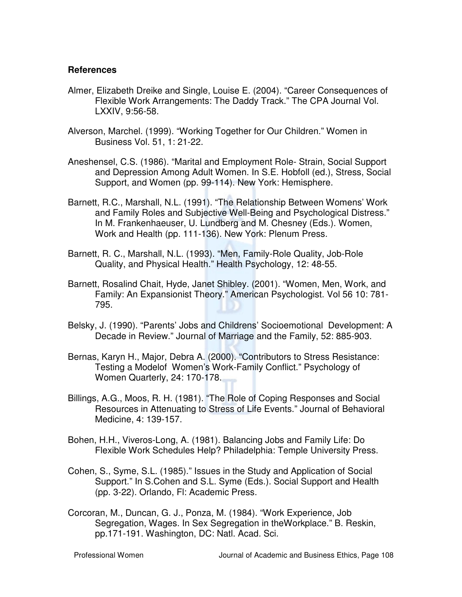#### **References**

- Almer, Elizabeth Dreike and Single, Louise E. (2004). "Career Consequences of Flexible Work Arrangements: The Daddy Track." The CPA Journal Vol. LXXIV, 9:56-58.
- Alverson, Marchel. (1999). "Working Together for Our Children." Women in Business Vol. 51, 1: 21-22.
- Aneshensel, C.S. (1986). "Marital and Employment Role- Strain, Social Support and Depression Among Adult Women. In S.E. Hobfoll (ed.), Stress, Social Support, and Women (pp. 99-114). New York: Hemisphere.
- Barnett, R.C., Marshall, N.L. (1991). "The Relationship Between Womens' Work and Family Roles and Subjective Well-Being and Psychological Distress." In M. Frankenhaeuser, U. Lundberg and M. Chesney (Eds.). Women, Work and Health (pp. 111-136). New York: Plenum Press.
- Barnett, R. C., Marshall, N.L. (1993). "Men, Family-Role Quality, Job-Role Quality, and Physical Health." Health Psychology, 12: 48-55.
- Barnett, Rosalind Chait, Hyde, Janet Shibley. (2001). "Women, Men, Work, and Family: An Expansionist Theory." American Psychologist. Vol 56 10: 781- 795.
- Belsky, J. (1990). "Parents' Jobs and Childrens' Socioemotional Development: A Decade in Review." Journal of Marriage and the Family, 52: 885-903.
- Bernas, Karyn H., Major, Debra A. (2000). "Contributors to Stress Resistance: Testing a Modelof Women's Work-Family Conflict." Psychology of Women Quarterly, 24: 170-178.
- Billings, A.G., Moos, R. H. (1981). "The Role of Coping Responses and Social Resources in Attenuating to Stress of Life Events." Journal of Behavioral Medicine, 4: 139-157.
- Bohen, H.H., Viveros-Long, A. (1981). Balancing Jobs and Family Life: Do Flexible Work Schedules Help? Philadelphia: Temple University Press.
- Cohen, S., Syme, S.L. (1985)." Issues in the Study and Application of Social Support." In S.Cohen and S.L. Syme (Eds.). Social Support and Health (pp. 3-22). Orlando, Fl: Academic Press.
- Corcoran, M., Duncan, G. J., Ponza, M. (1984). "Work Experience, Job Segregation, Wages. In Sex Segregation in theWorkplace." B. Reskin, pp.171-191. Washington, DC: Natl. Acad. Sci.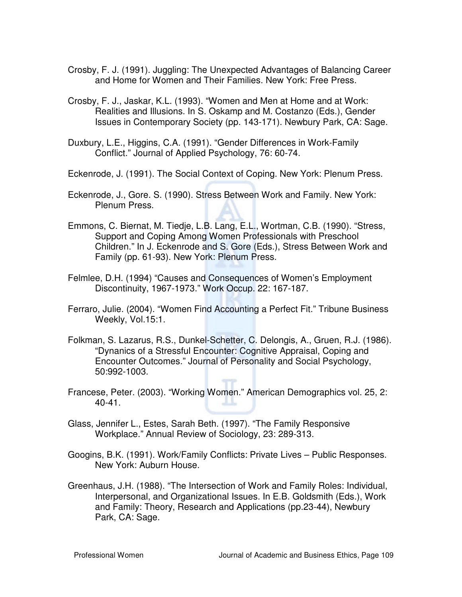- Crosby, F. J. (1991). Juggling: The Unexpected Advantages of Balancing Career and Home for Women and Their Families. New York: Free Press.
- Crosby, F. J., Jaskar, K.L. (1993). "Women and Men at Home and at Work: Realities and Illusions. In S. Oskamp and M. Costanzo (Eds.), Gender Issues in Contemporary Society (pp. 143-171). Newbury Park, CA: Sage.
- Duxbury, L.E., Higgins, C.A. (1991). "Gender Differences in Work-Family Conflict." Journal of Applied Psychology, 76: 60-74.
- Eckenrode, J. (1991). The Social Context of Coping. New York: Plenum Press.
- Eckenrode, J., Gore. S. (1990). Stress Between Work and Family. New York: Plenum Press.
- Emmons, C. Biernat, M. Tiedje, L.B. Lang, E.L., Wortman, C.B. (1990). "Stress, Support and Coping Among Women Professionals with Preschool Children." In J. Eckenrode and S. Gore (Eds.), Stress Between Work and Family (pp. 61-93). New York: Plenum Press.
- Felmlee, D.H. (1994) "Causes and Consequences of Women's Employment Discontinuity, 1967-1973." Work Occup. 22: 167-187.
- Ferraro, Julie. (2004). "Women Find Accounting a Perfect Fit." Tribune Business Weekly, Vol.15:1.
- Folkman, S. Lazarus, R.S., Dunkel-Schetter, C. Delongis, A., Gruen, R.J. (1986). "Dynanics of a Stressful Encounter: Cognitive Appraisal, Coping and Encounter Outcomes." Journal of Personality and Social Psychology, 50:992-1003.
- Francese, Peter. (2003). "Working Women." American Demographics vol. 25, 2: 40-41.
- Glass, Jennifer L., Estes, Sarah Beth. (1997). "The Family Responsive Workplace." Annual Review of Sociology, 23: 289-313.
- Googins, B.K. (1991). Work/Family Conflicts: Private Lives Public Responses. New York: Auburn House.
- Greenhaus, J.H. (1988). "The Intersection of Work and Family Roles: Individual, Interpersonal, and Organizational Issues. In E.B. Goldsmith (Eds.), Work and Family: Theory, Research and Applications (pp.23-44), Newbury Park, CA: Sage.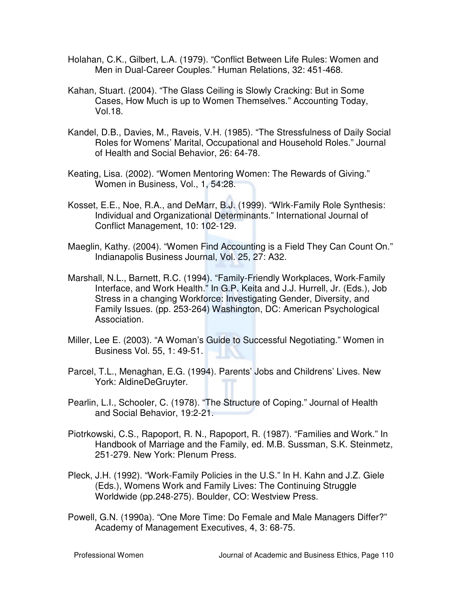- Holahan, C.K., Gilbert, L.A. (1979). "Conflict Between Life Rules: Women and Men in Dual-Career Couples." Human Relations, 32: 451-468.
- Kahan, Stuart. (2004). "The Glass Ceiling is Slowly Cracking: But in Some Cases, How Much is up to Women Themselves." Accounting Today, Vol.18.
- Kandel, D.B., Davies, M., Raveis, V.H. (1985). "The Stressfulness of Daily Social Roles for Womens' Marital, Occupational and Household Roles." Journal of Health and Social Behavior, 26: 64-78.
- Keating, Lisa. (2002). "Women Mentoring Women: The Rewards of Giving." Women in Business, Vol., 1, 54:28.
- Kosset, E.E., Noe, R.A., and DeMarr, B.J. (1999). "Wlrk-Family Role Synthesis: Individual and Organizational Determinants." International Journal of Conflict Management, 10: 102-129.
- Maeglin, Kathy. (2004). "Women Find Accounting is a Field They Can Count On." Indianapolis Business Journal, Vol. 25, 27: A32.
- Marshall, N.L., Barnett, R.C. (1994). "Family-Friendly Workplaces, Work-Family Interface, and Work Health." In G.P. Keita and J.J. Hurrell, Jr. (Eds.), Job Stress in a changing Workforce: Investigating Gender, Diversity, and Family Issues. (pp. 253-264) Washington, DC: American Psychological Association.
- Miller, Lee E. (2003). "A Woman's Guide to Successful Negotiating." Women in Business Vol. 55, 1: 49-51.
- Parcel, T.L., Menaghan, E.G. (1994). Parents' Jobs and Childrens' Lives. New York: AldineDeGruyter.
- Pearlin, L.I., Schooler, C. (1978). "The Structure of Coping." Journal of Health and Social Behavior, 19:2-21.
- Piotrkowski, C.S., Rapoport, R. N., Rapoport, R. (1987). "Families and Work." In Handbook of Marriage and the Family, ed. M.B. Sussman, S.K. Steinmetz, 251-279. New York: Plenum Press.
- Pleck, J.H. (1992). "Work-Family Policies in the U.S." In H. Kahn and J.Z. Giele (Eds.), Womens Work and Family Lives: The Continuing Struggle Worldwide (pp.248-275). Boulder, CO: Westview Press.
- Powell, G.N. (1990a). "One More Time: Do Female and Male Managers Differ?" Academy of Management Executives, 4, 3: 68-75.